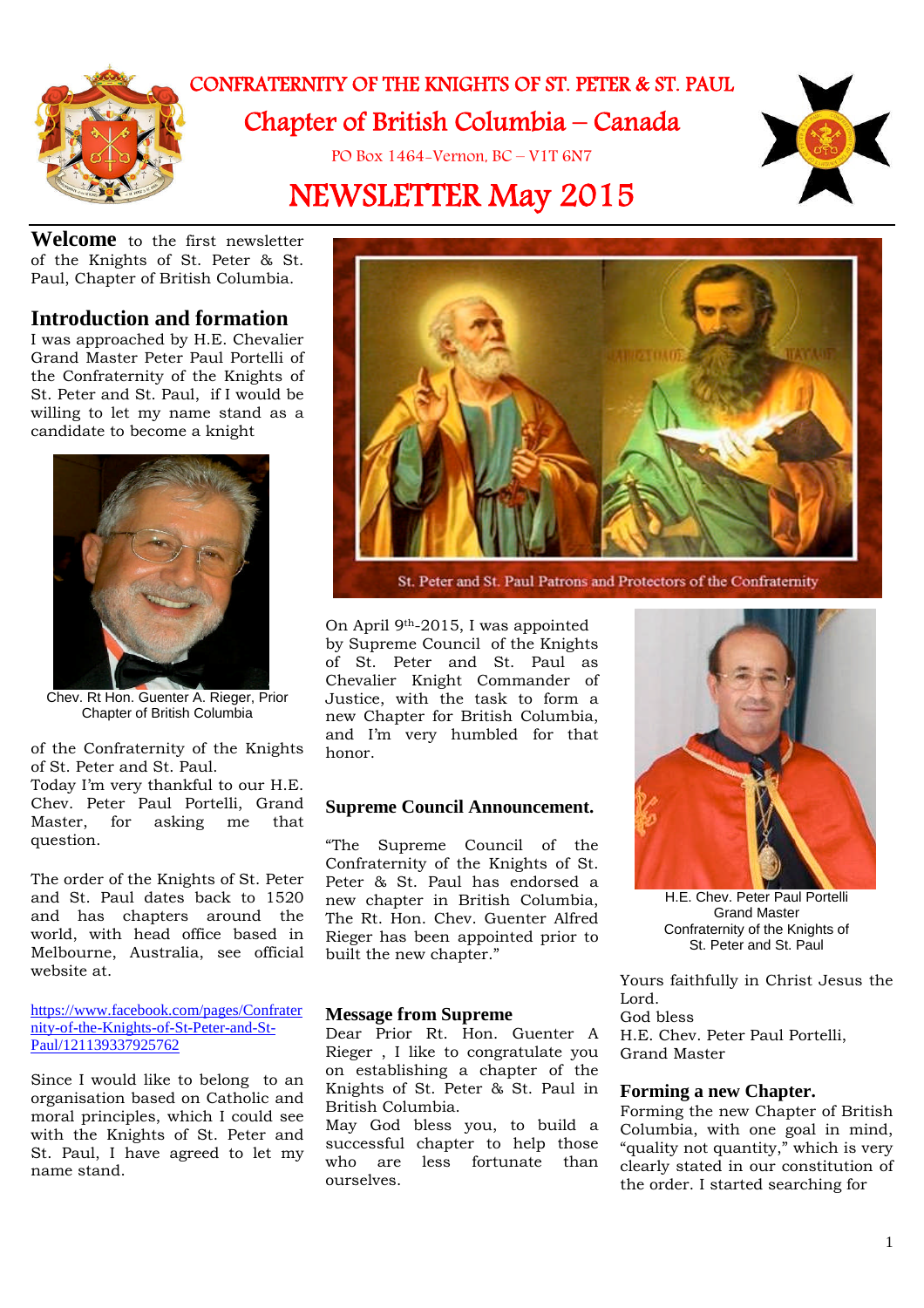

## CONFRATERNITY OF THE KNIGHTS OF ST. PETER & ST. PAUL Chapter of British Columbia – Canada

PO Box 1464-Vernon, BC – V1T 6N7

# NEWSLETTER May 2015



**Welcome** to the first newsletter of the Knights of St. Peter & St. Paul, Chapter of British Columbia.

### **Introduction and formation**

I was approached by H.E. Chevalier Grand Master Peter Paul Portelli of the Confraternity of the Knights of St. Peter and St. Paul, if I would be willing to let my name stand as a candidate to become a knight



Chev. Rt Hon. Guenter A. Rieger, Prior Chapter of British Columbia

of the Confraternity of the Knights of St. Peter and St. Paul.

Today I'm very thankful to our H.E. Chev. Peter Paul Portelli, Grand Master, for asking me that question.

The order of the Knights of St. Peter and St. Paul dates back to 1520 and has chapters around the world, with head office based in Melbourne, Australia, see official website at.

https://www.facebook.com/pages/Confrater nity-of-the-Knights-of-St-Peter-and-St-Paul/121139337925762

Since I would like to belong to an organisation based on Catholic and moral principles, which I could see with the Knights of St. Peter and St. Paul, I have agreed to let my name stand.



St. Peter and St. Paul Patrons and Protectors of the Confraternity

On April 9th-2015, I was appointed by Supreme Council of the Knights of St. Peter and St. Paul as Chevalier Knight Commander of Justice, with the task to form a new Chapter for British Columbia, and I'm very humbled for that honor.

### **Supreme Council Announcement.**

"The Supreme Council of the Confraternity of the Knights of St. Peter & St. Paul has endorsed a new chapter in British Columbia, The Rt. Hon. Chev. Guenter Alfred Rieger has been appointed prior to built the new chapter."

### **Message from Supreme**

Dear Prior Rt. Hon. Guenter A Rieger , I like to congratulate you on establishing a chapter of the Knights of St. Peter & St. Paul in British Columbia.

May God bless you, to build a successful chapter to help those who are less fortunate than ourselves.



H.E. Chev. Peter Paul Portelli Grand Master Confraternity of the Knights of St. Peter and St. Paul

Yours faithfully in Christ Jesus the Lord. God bless H.E. Chev. Peter Paul Portelli, Grand Master

#### **Forming a new Chapter.**

Forming the new Chapter of British Columbia, with one goal in mind, "quality not quantity," which is very clearly stated in our constitution of the order. I started searching for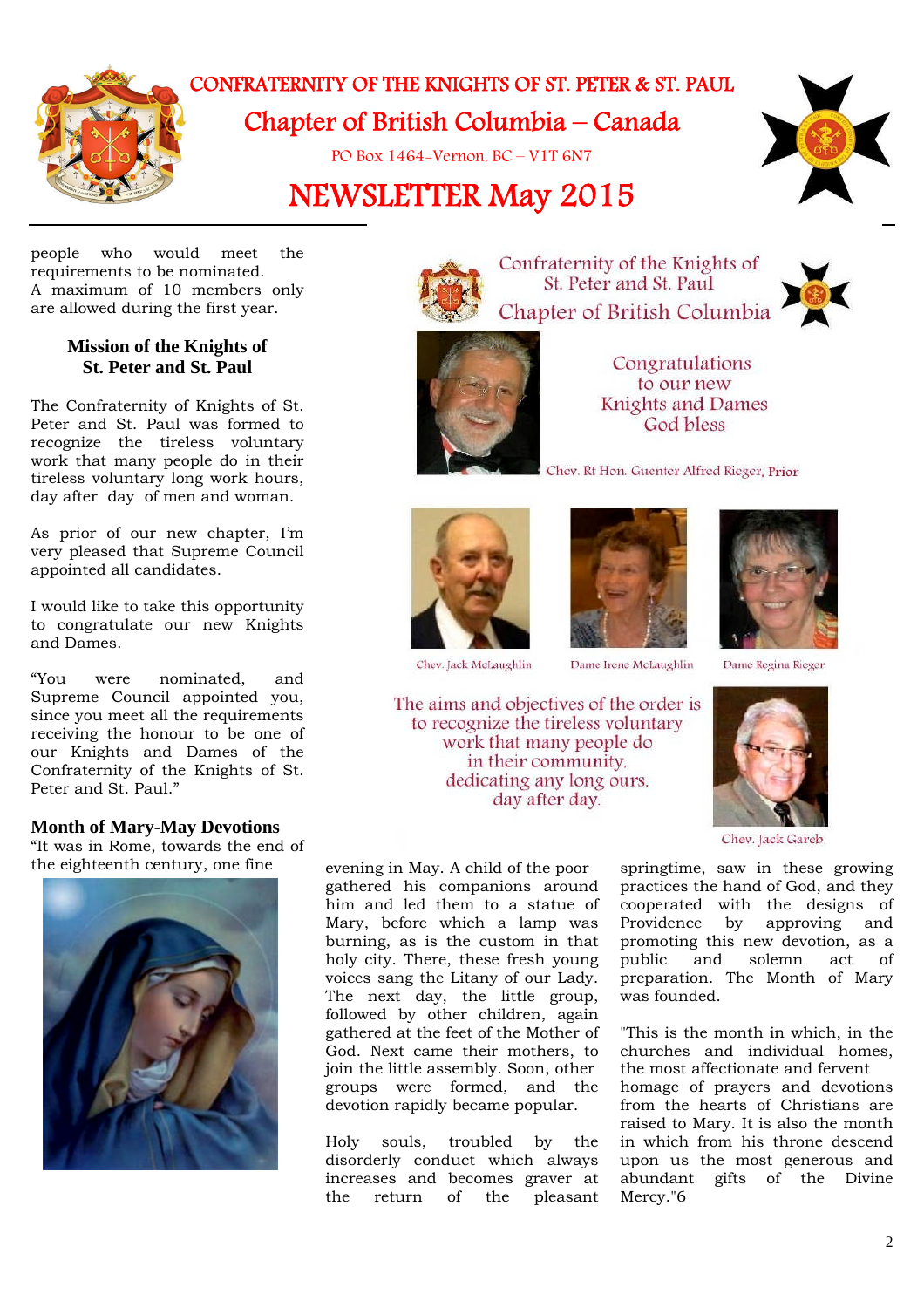

## CONFRATERNITY OF THE KNIGHTS OF ST. PETER & ST. PAUL Chapter of British Columbia – Canada

PO Box 1464-Vernon, BC – V1T 6N7

# NEWSLETTER May 2015



people who would meet the requirements to be nominated. A maximum of 10 members only are allowed during the first year.

### **Mission of the Knights of St. Peter and St. Paul**

The Confraternity of Knights of St. Peter and St. Paul was formed to recognize the tireless voluntary work that many people do in their tireless voluntary long work hours, day after day of men and woman.

As prior of our new chapter, I'm very pleased that Supreme Council appointed all candidates.

I would like to take this opportunity to congratulate our new Knights and Dames.

"You were nominated, and Supreme Council appointed you, since you meet all the requirements receiving the honour to be one of our Knights and Dames of the Confraternity of the Knights of St. Peter and St. Paul."

### **Month of Mary-May Devotions**

"It was in Rome, towards the end of the eighteenth century, one fine evening in May. A child of the poor





Confraternity of the Knights of St. Peter and St. Paul Chapter of British Columbia



Congratulations to our new **Knights and Dames** God bless

Chev. Rt Hon. Guenter Alfred Rieger, Prior





Dame Irene McLaughlin



Dame Regina Rieger

The aims and objectives of the order is to recognize the tireless voluntary work that many people do in their community. dedicating any long ours, day after day.



Chev. Jack Gareb

gathered his companions around him and led them to a statue of Mary, before which a lamp was burning, as is the custom in that holy city. There, these fresh young voices sang the Litany of our Lady. The next day, the little group, followed by other children, again gathered at the feet of the Mother of God. Next came their mothers, to join the little assembly. Soon, other groups were formed, and the devotion rapidly became popular.

Holy souls, troubled by the disorderly conduct which always increases and becomes graver at<br>the return of the pleasant the return of the pleasant springtime, saw in these growing practices the hand of God, and they cooperated with the designs of Providence by approving and promoting this new devotion, as a public and solemn act of preparation. The Month of Mary was founded.

"This is the month in which, in the churches and individual homes, the most affectionate and fervent homage of prayers and devotions from the hearts of Christians are raised to Mary. It is also the month in which from his throne descend upon us the most generous and abundant gifts of the Divine Mercy."6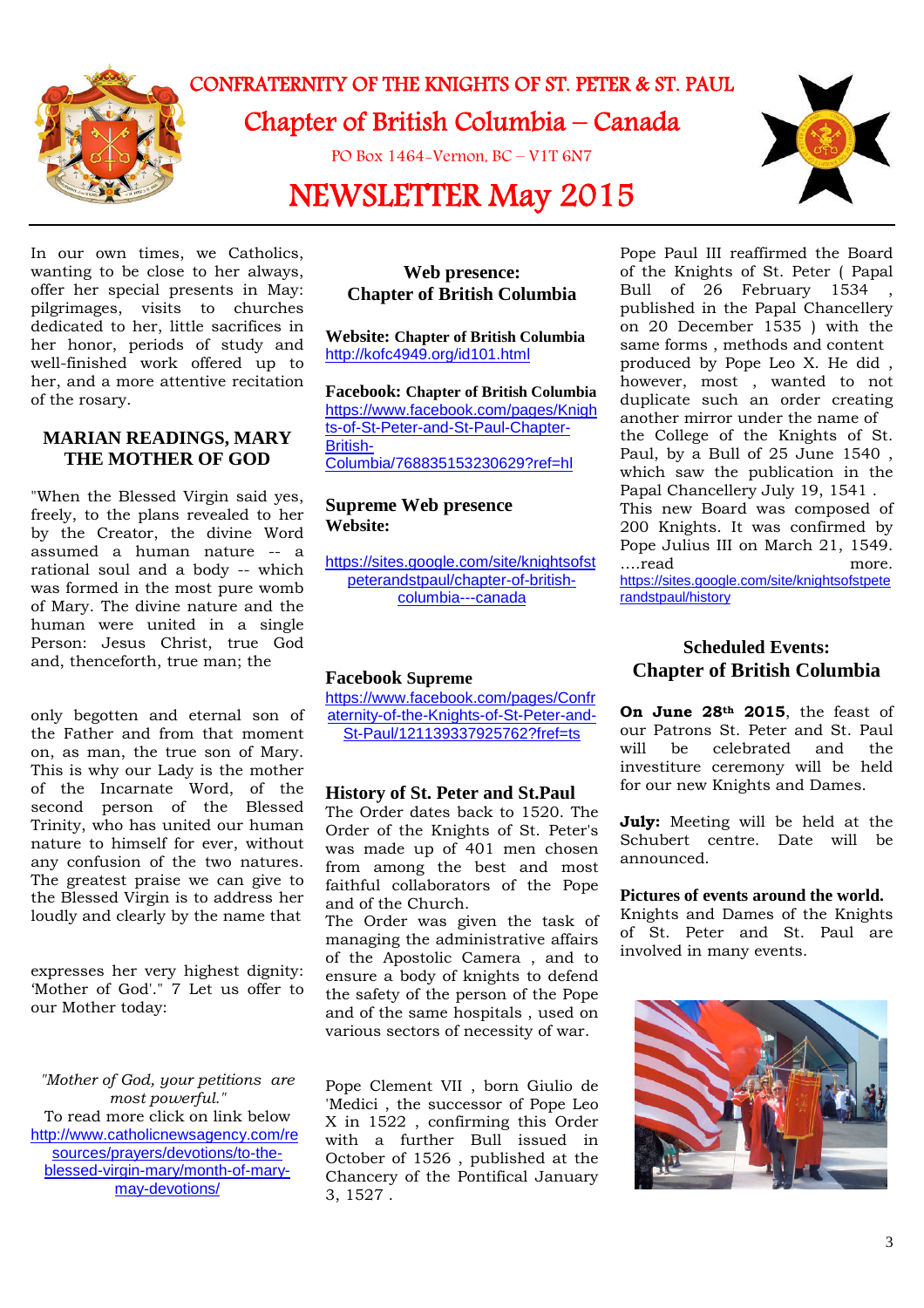

## CONFRATERNITY OF THE KNIGHTS OF ST. PETER & ST. PAUL Chapter of British Columbia – Canada

PO Box 1464-Vernon, BC – V1T 6N7

# NEWSLETTER May 2015



In our own times, we Catholics, wanting to be close to her always, offer her special presents in May: pilgrimages, visits to churches dedicated to her, little sacrifices in her honor, periods of study and well-finished work offered up to her, and a more attentive recitation of the rosary.

### **MARIAN READINGS, MARY THE MOTHER OF GOD**

"When the Blessed Virgin said yes, freely, to the plans revealed to her by the Creator, the divine Word assumed a human nature -- a rational soul and a body -- which was formed in the most pure womb of Mary. The divine nature and the human were united in a single Person: Jesus Christ, true God and, thenceforth, true man; the

only begotten and eternal son of the Father and from that moment on, as man, the true son of Mary. This is why our Lady is the mother of the Incarnate Word, of the second person of the Blessed Trinity, who has united our human nature to himself for ever, without any confusion of the two natures. The greatest praise we can give to the Blessed Virgin is to address her loudly and clearly by the name that

expresses her very highest dignity: 'Mother of God'." 7 Let us offer to our Mother today:

*"Mother of God, your petitions are most powerful."* To read more click on link below http://www.catholicnewsagency.com/re sources/prayers/devotions/to-theblessed-virgin-mary/month-of-marymay-devotions/

### **Web presence: Chapter of British Columbia**

**Website: Chapter of British Columbia** http://kofc4949.org/id101.html

**Facebook: Chapter of British Columbia** https://www.facebook.com/pages/Knigh ts-of-St-Peter-and-St-Paul-Chapter-British-Columbia/768835153230629?ref=hl

### **Supreme Web presence Website:**

https://sites.google.com/site/knightsofst peterandstpaul/chapter-of-britishcolumbia---canada

### **Facebook Supreme**

https://www.facebook.com/pages/Confr aternity-of-the-Knights-of-St-Peter-and-St-Paul/121139337925762?fref=ts

### **History of St. Peter and St.Paul**

The Order dates back to 1520. The Order of the Knights of St. Peter's was made up of 401 men chosen from among the best and most faithful collaborators of the Pope and of the Church.

The Order was given the task of managing the administrative affairs of the Apostolic Camera , and to ensure a body of knights to defend the safety of the person of the Pope and of the same hospitals , used on various sectors of necessity of war.

Pope Clement VII , born Giulio de 'Medici , the successor of Pope Leo X in 1522 , confirming this Order with a further Bull issued in October of 1526 , published at the Chancery of the Pontifical January 3, 1527 .

Pope Paul III reaffirmed the Board of the Knights of St. Peter ( Papal Bull of 26 February 1534 published in the Papal Chancellery on 20 December 1535 ) with the same forms , methods and content produced by Pope Leo X. He did , however, most , wanted to not duplicate such an order creating another mirror under the name of the College of the Knights of St. Paul, by a Bull of 25 June 1540 , which saw the publication in the Papal Chancellery July 19, 1541 . This new Board was composed of 200 Knights. It was confirmed by Pope Julius III on March 21, 1549. ….read more. https://sites.google.com/site/knightsofstpete randstpaul/history

### **Scheduled Events: Chapter of British Columbia**

**On June 28th 2015**, the feast of our Patrons St. Peter and St. Paul will be celebrated and the investiture ceremony will be held for our new Knights and Dames.

**July:** Meeting will be held at the Schubert centre. Date will be announced.

### **Pictures of events around the world.**

Knights and Dames of the Knights of St. Peter and St. Paul are involved in many events.